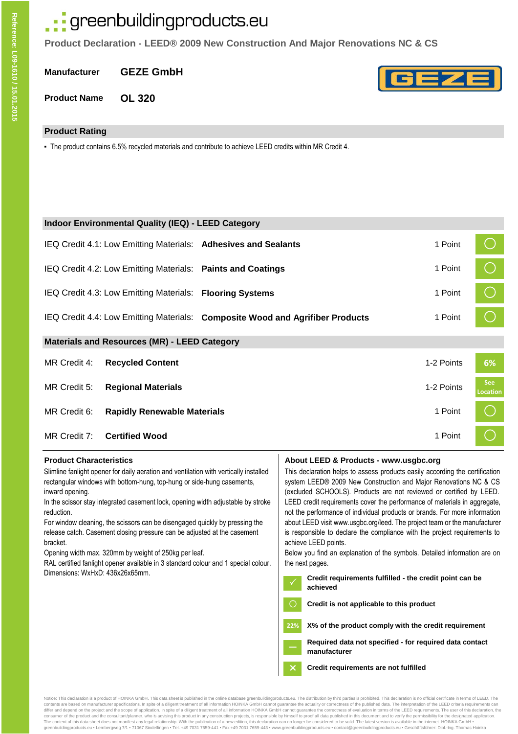# : greenbuildingproducts.eu

**Product Declaration - LEED® 2009 New Construction And Major Renovations NC & CS**

**Manufacturer GEZE GmbH**

**Product Name OL 320**

## **Product Rating**

- The product contains 6.5% recycled materials and contribute to achieve LEED credits within MR Credit 4.

|              | <b>Indoor Environmental Quality (IEQ) - LEED Category</b>   |                                                                               |            |                               |
|--------------|-------------------------------------------------------------|-------------------------------------------------------------------------------|------------|-------------------------------|
|              |                                                             | IEQ Credit 4.1: Low Emitting Materials: Adhesives and Sealants                | 1 Point    |                               |
|              | IEQ Credit 4.2: Low Emitting Materials: Paints and Coatings |                                                                               | 1 Point    | $\bigcirc$                    |
|              | IEQ Credit 4.3: Low Emitting Materials: Flooring Systems    |                                                                               | 1 Point    | $\bigcirc$                    |
|              |                                                             | IEQ Credit 4.4: Low Emitting Materials: Composite Wood and Agrifiber Products | 1 Point    |                               |
|              | <b>Materials and Resources (MR) - LEED Category</b>         |                                                                               |            |                               |
| MR Credit 4: | <b>Recycled Content</b>                                     |                                                                               | 1-2 Points | 6%                            |
| MR Credit 5: | <b>Regional Materials</b>                                   |                                                                               | 1-2 Points | <b>See</b><br><b>Location</b> |
| MR Credit 6: | <b>Rapidly Renewable Materials</b>                          |                                                                               | 1 Point    |                               |
| MR Credit 7: | <b>Certified Wood</b>                                       |                                                                               | 1 Point    |                               |

| <b>Product Characteristics</b>                                                                                                                                                                                                                                                                                                                                                                                                                                                                                       | About LEED & Products - www.usgbc.org                                                                                                                                                                                                                                                                                                                                                                                                                                                                                                                                                                                                             |
|----------------------------------------------------------------------------------------------------------------------------------------------------------------------------------------------------------------------------------------------------------------------------------------------------------------------------------------------------------------------------------------------------------------------------------------------------------------------------------------------------------------------|---------------------------------------------------------------------------------------------------------------------------------------------------------------------------------------------------------------------------------------------------------------------------------------------------------------------------------------------------------------------------------------------------------------------------------------------------------------------------------------------------------------------------------------------------------------------------------------------------------------------------------------------------|
| Slimline fanlight opener for daily aeration and ventilation with vertically installed<br>rectangular windows with bottom-hung, top-hung or side-hung casements,<br>inward opening.<br>In the scissor stay integrated casement lock, opening width adjustable by stroke<br>reduction.<br>For window cleaning, the scissors can be disengaged quickly by pressing the<br>release catch. Casement closing pressure can be adjusted at the casement<br>bracket.<br>Opening width max. 320mm by weight of 250kg per leaf. | This declaration helps to assess products easily according the certification<br>system LEED® 2009 New Construction and Major Renovations NC & CS<br>(excluded SCHOOLS). Products are not reviewed or certified by LEED.<br>LEED credit requirements cover the performance of materials in aggregate,<br>not the performance of individual products or brands. For more information<br>about LEED visit www.usgbc.org/leed. The project team or the manufacturer<br>is responsible to declare the compliance with the project requirements to<br>achieve LEED points.<br>Below you find an explanation of the symbols. Detailed information are on |
| RAL certified fanlight opener available in 3 standard colour and 1 special colour.<br>Dimensions: WxHxD: 436x26x65mm.                                                                                                                                                                                                                                                                                                                                                                                                | the next pages.<br>Credit requirements fulfilled - the credit point can be<br>achieved                                                                                                                                                                                                                                                                                                                                                                                                                                                                                                                                                            |
|                                                                                                                                                                                                                                                                                                                                                                                                                                                                                                                      | Credit is not applicable to this product                                                                                                                                                                                                                                                                                                                                                                                                                                                                                                                                                                                                          |
|                                                                                                                                                                                                                                                                                                                                                                                                                                                                                                                      | X% of the product comply with the credit requirement<br>22%                                                                                                                                                                                                                                                                                                                                                                                                                                                                                                                                                                                       |
|                                                                                                                                                                                                                                                                                                                                                                                                                                                                                                                      | Required data not specified - for required data contact<br>manufacturer                                                                                                                                                                                                                                                                                                                                                                                                                                                                                                                                                                           |
|                                                                                                                                                                                                                                                                                                                                                                                                                                                                                                                      | $\boldsymbol{\mathsf{x}}$<br>Credit requirements are not fulfilled                                                                                                                                                                                                                                                                                                                                                                                                                                                                                                                                                                                |

Notice: This declaration is a product of HOINKA GmbH. This data sheet is published in the online database greenbuildingproducts.eu. The distribution by third parties is prohibited. This declaration is no official certifica consumer of the product and the consultant/planner, who is advising this product in any construction projects, is responsible by himself to proof all data published in this document and to verify the permissibility for the greenbuildingproducts.eu ▪ Lembergweg 7/1 ▪ 71067 Sindelfingen ▪ Tel. +49 7031 7659-441 ▪ Fax +49 7031 7659-443 ▪ www.greenbuildingproducts.eu ▪ contact@greenbuildingproducts.eu ▪ Geschäftsführer: Dipl.-Ing. Thomas Hoinka

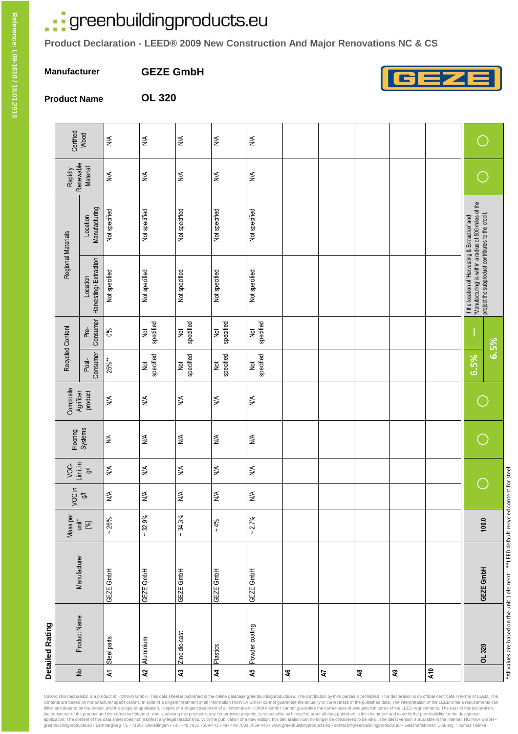# .: greenbuildingproducts.eu

**OL 320**

**Product Declaration - LEED® 2009 New Construction And Major Renovations NC & CS**

**Manufacturer**

**GEZE GmbH**



**Product Name**

|                           | Detailed Rating |              |             |                              |                              |                                        |                      |                            |                            |                                                                                                                                                                 |                           |                              |                                 |
|---------------------------|-----------------|--------------|-------------|------------------------------|------------------------------|----------------------------------------|----------------------|----------------------------|----------------------------|-----------------------------------------------------------------------------------------------------------------------------------------------------------------|---------------------------|------------------------------|---------------------------------|
|                           |                 |              | Mass per    | VOC in                       | Limit in<br>VOC-             |                                        | Composite            | Recycled Content           |                            | Regional Materials                                                                                                                                              |                           | Rapidly                      |                                 |
| $\gtrsim$                 | Product Name    | Manufacturer | $unit*$ [%] | $\overline{\sigma}$          | $\overline{\Theta}$          | Flooring<br>Systems                    | Agrifiber<br>product | Consumer<br>Post-          | Consumer<br>Pre-           | Harvesting/Extraction<br>Location                                                                                                                               | Manufacturing<br>Location | Renewable<br><b>Material</b> | Certified<br>Wood               |
| $\mathbf{z}$              | Steel parts     | GEZE GmbH    | $~26\%$     | $\stackrel{\triangle}{\geq}$ | $\lessgtr$                   | $\lessapprox$                          | $\lessgtr$           | 25%**                      | $0\%$                      | Not specified                                                                                                                                                   | Not specified             | $\lessgtr$                   | $\lessgtr$                      |
| $\boldsymbol{\mathsf{a}}$ | Aluminium       | GEZE GmbH    | $~12.9\%$   | $\stackrel{\triangle}{\geq}$ | $\stackrel{\triangle}{\geq}$ | $\leq$                                 | $\lessgtr$           | specified<br><b>b</b> d    | specified<br>$\frac{1}{2}$ | Not specified                                                                                                                                                   | Not specified             | $\lessgtr$                   | $\lessgtr$                      |
| $\boldsymbol{\mathsf{z}}$ | Zinc die-cast   | GEZE GmbH    | $~134.3\%$  | $\stackrel{\triangle}{\geq}$ | $\lessgtr$                   | $\stackrel{\textstyle\triangle}{\geq}$ | $\lessgtr$           | specified<br>$\frac{1}{2}$ | specified<br>$\frac{1}{2}$ | Not specified                                                                                                                                                   | Not specified             | $\lessgtr$                   | $\lessgtr$                      |
| $\boldsymbol{z}$          | Plastics        | GEZE GmbH    | $~10^{6}$   | $\stackrel{\leq}{\geq}$      | $\lessgtr$                   | $\leq$                                 | $\lessgtr$           | specified<br>$\frac{1}{2}$ | specified<br>$\frac{1}{2}$ | Not specified                                                                                                                                                   | Not specified             | $\lessgtr$                   | $\lessgtr$                      |
| 45                        | Powder coating  | GEZE GmbH    | $~2.7\%$    | $\stackrel{\triangle}{\geq}$ | $\lessgtr$                   | $\stackrel{\triangle}{\geq}$           | $\lessgtr$           | specified<br>$\frac{1}{2}$ | specified<br>$\frac{1}{2}$ | Not specified                                                                                                                                                   | Not specified             | $\lessgtr$                   | $\frac{\mathbb{A}}{\mathbb{A}}$ |
| $\mathbf{A6}$             |                 |              |             |                              |                              |                                        |                      |                            |                            |                                                                                                                                                                 |                           |                              |                                 |
| 5                         |                 |              |             |                              |                              |                                        |                      |                            |                            |                                                                                                                                                                 |                           |                              |                                 |
| $\mathbf{a}$              |                 |              |             |                              |                              |                                        |                      |                            |                            |                                                                                                                                                                 |                           |                              |                                 |
| $\mathbf{S}$              |                 |              |             |                              |                              |                                        |                      |                            |                            |                                                                                                                                                                 |                           |                              |                                 |
| A10                       |                 |              |             |                              |                              |                                        |                      |                            |                            |                                                                                                                                                                 |                           |                              |                                 |
|                           | OL 320          | GEZE GmbH    | 100.0       |                              |                              |                                        |                      | 6.5%                       | 6.5%                       | If the location of 'Harvesting & Extraction' and<br>'Manufacturing' is within a radius of 500 miles of the<br>project the subproduct contributes to the credit. |                           |                              |                                 |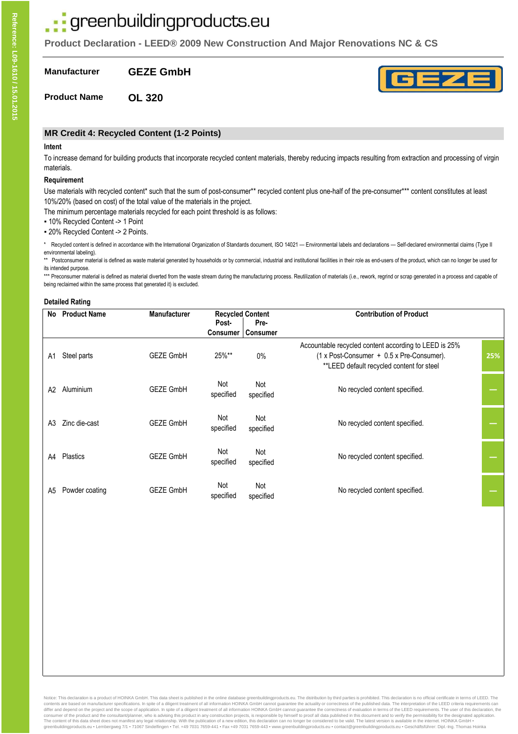# · greenbuildingproducts.eu

**Product Declaration - LEED® 2009 New Construction And Major Renovations NC & CS**

**Manufacturer GEZE GmbH**

**Product Name OL 320**

# **MR Credit 4: Recycled Content (1-2 Points)**

#### **Intent**

To increase demand for building products that incorporate recycled content materials, thereby reducing impacts resulting from extraction and processing of virgin materials.

#### **Requirement**

Use materials with recycled content\* such that the sum of post-consumer\*\* recycled content plus one-half of the pre-consumer\*\*\* content constitutes at least 10%/20% (based on cost) of the total value of the materials in the project.

The minimum percentage materials recycled for each point threshold is as follows:

- 10% Recycled Content -> 1 Point
- 20% Recycled Content -> 2 Points.

Recycled content is defined in accordance with the International Organization of Standards document, ISO 14021 - Environmental labels and declarations - Self-declared environmental claims (Type II environmental labeling).

\*\* Postconsumer material is defined as waste material generated by households or by commercial, industrial and institutional facilities in their role as end-users of the product, which can no longer be used for its intended purpose.

\*\*\* Preconsumer material is defined as material diverted from the waste stream during the manufacturing process. Reutilization of materials (i.e., rework, regrind or scrap generated in a process and capable of being reclaimed within the same process that generated it) is excluded.

#### **Detailed Rating**

| No | <b>Product Name</b> | <b>Manufacturer</b> | Post-            | <b>Recycled Content</b><br>Pre- | <b>Contribution of Product</b>                                                                                                                  |     |
|----|---------------------|---------------------|------------------|---------------------------------|-------------------------------------------------------------------------------------------------------------------------------------------------|-----|
|    |                     |                     | Consumer         | <b>Consumer</b>                 |                                                                                                                                                 |     |
| A1 | Steel parts         | <b>GEZE GmbH</b>    | 25%**            | $0\%$                           | Accountable recycled content according to LEED is 25%<br>(1 x Post-Consumer + 0.5 x Pre-Consumer).<br>**LEED default recycled content for steel | 25% |
| A2 | Aluminium           | <b>GEZE GmbH</b>    | Not<br>specified | Not<br>specified                | No recycled content specified.                                                                                                                  |     |
| A3 | Zinc die-cast       | <b>GEZE GmbH</b>    | Not<br>specified | Not<br>specified                | No recycled content specified.                                                                                                                  |     |
| A4 | Plastics            | <b>GEZE GmbH</b>    | Not<br>specified | Not<br>specified                | No recycled content specified.                                                                                                                  |     |
| A5 | Powder coating      | <b>GEZE GmbH</b>    | Not<br>specified | Not<br>specified                | No recycled content specified.                                                                                                                  |     |

Notice: This declaration is a product of HOINKA GmbH. This data sheet is published in the online database greenbuildingproducts.eu. The distribution by third parties is prohibited. This declaration is no official certifica contents are based on manufacturer specifications. In spite of a diligent treatment of all information HOINKA GmbH cannot guarantee the actuality or correctness of the published data. The interpretation of the LEED criteri consumer of the product and the consultant/planner, who is advising this product in any construction projects, is responsible by himself to proof all data published in this document and to verify the permissibility for the The content of this data sheet does not manifest any legal relationship. With the publication of a new edition, this declaration can no longer be considered to be valid. The latest version is available in the internet. HOI